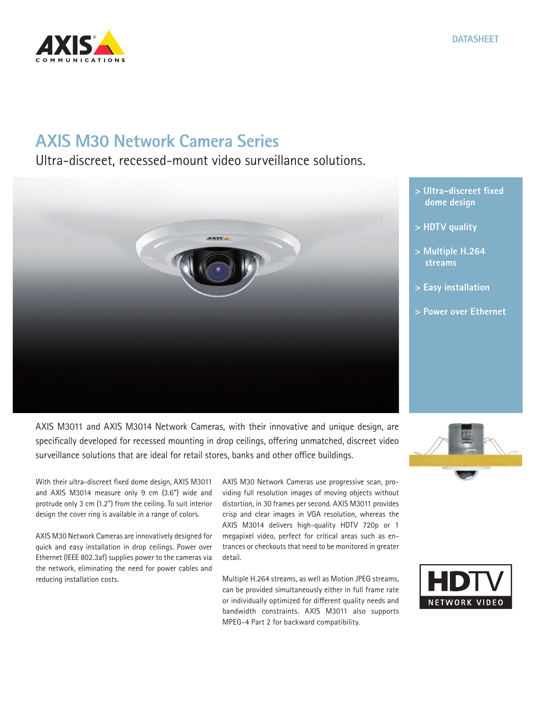

## **AXIS M30 Network Camera Series**

Ultra-discreet, recessed-mount video surveillance solutions.



AXIS M3011 and AXIS M3014 Network Cameras, with their innovative and unique design, are specifically developed for recessed mounting in drop ceilings, offering unmatched, discreet video surveillance solutions that are ideal for retail stores, banks and other office buildings.

With their ultra-discreet fixed dome design, AXIS M3011 and AXIS M3014 measure only 9 cm (3.6") wide and protrude only 3 cm (1.2") from the ceiling. To suit interior design the cover ring is available in a range of colors.

AXIS M30 Network Cameras are innovatively designed for quick and easy installation in drop ceilings. Power over Ethernet (IEEE 802.3af) supplies power to the cameras via the network, eliminating the need for power cables and reducing installation costs.

AXIS M30 Network Cameras use progressive scan, providing full resolution images of moving objects without distortion, in 30 frames per second. AXIS M3011 provides crisp and clear images in VGA resolution, whereas the AXIS M3014 delivers high-quality HDTV 720p or 1 megapixel video, perfect for critical areas such as entrances or checkouts that need to be monitored in greater detail.

Multiple H.264 streams, as well as Motion JPEG streams, can be provided simultaneously either in full frame rate or individually optimized for different quality needs and bandwidth constraints. AXIS M3011 also supports MPEG-4 Part 2 for backward compatibility.

**> Ultra-discreet fixed dome design**

- **> HDTV quality**
- **> Multiple H.264 streams**
- **> Easy installation**
- **> Power over Ethernet**